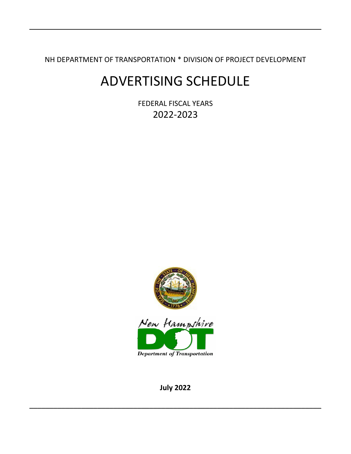NH DEPARTMENT OF TRANSPORTATION \* DIVISION OF PROJECT DEVELOPMENT

\_\_\_\_\_\_\_\_\_\_\_\_\_\_\_\_\_\_\_\_\_\_\_\_\_\_\_\_\_\_\_\_\_\_\_\_\_\_\_\_\_\_\_\_\_\_\_\_\_\_\_\_\_\_\_\_\_\_\_\_\_\_\_\_\_\_\_\_\_\_\_\_\_

# ADVERTISING SCHEDULE

FEDERAL FISCAL YEARS 2022-2023



**July 2022**

 $\overline{\phantom{a}}$  , and the contract of the contract of the contract of the contract of the contract of the contract of the contract of the contract of the contract of the contract of the contract of the contract of the contrac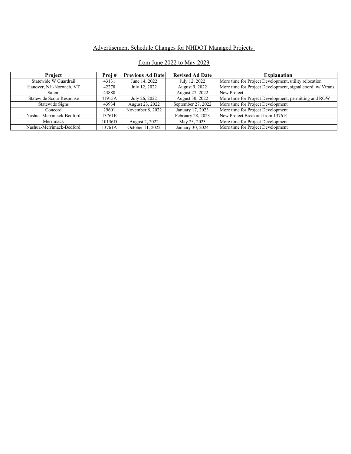#### Advertisement Schedule Changes for NHDOT Managed Projects

| <b>Project</b>                  | Proj#  | <b>Previous Ad Date</b> | <b>Revised Ad Date</b> | <b>Explanation</b>                                         |
|---------------------------------|--------|-------------------------|------------------------|------------------------------------------------------------|
| Statewide W Guardrail           | 43131  | June 14, 2022           | July 12, 2022          | More time for Project Development, utility relocation      |
| Hanover, NH-Norwich, VT         | 42278  | July 12, 2022           | August 9, 2022         | More time for Project Development, signal coord. w/ Vtrans |
| Salem                           | 43880  |                         | August 27, 2022        | New Project                                                |
| <b>Statewide Scour Response</b> | 41915A | July 26, 2022           | August 30, 2022        | More time for Project Development, permitting and ROW      |
| Statewide Signs                 | 43934  | August 23, 2022         | September 27, 2022     | More time for Project Development                          |
| Concord                         | 29601  | November 8, 2022        | January 17, 2023       | More time for Project Development                          |
| Nashua-Merrimack-Bedford        | 13761E |                         | February 28, 2023      | New Project Breakout from 13761C                           |
| Merrimack                       | 10136D | August 2, 2022          | May 23, 2023           | More time for Project Development                          |
| Nashua-Merrimack-Bedford        | 13761A | October 11, 2022        | January 30, 2024       | More time for Project Development                          |

#### from June 2022 to May 2023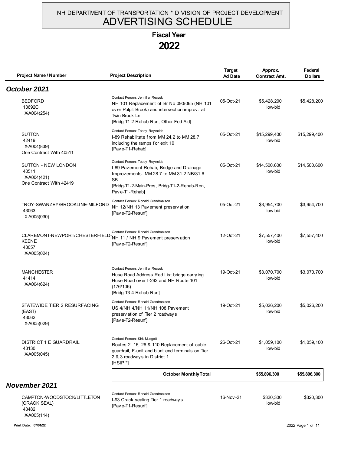#### NH DEPARTMENT OF TRANSPORTATION \* DIVISION OF PROJECT DEVELOPMENT ADVERTISING SCHEDULE

# **Fiscal Year**

**2022**

| Project Name / Number                                                                                      | <b>Project Description</b>                                                                                                                                                                         | <b>Target</b><br><b>Ad Date</b> | Approx.<br><b>Contract Amt.</b> | Federal<br><b>Dollars</b> |
|------------------------------------------------------------------------------------------------------------|----------------------------------------------------------------------------------------------------------------------------------------------------------------------------------------------------|---------------------------------|---------------------------------|---------------------------|
| October 2021                                                                                               |                                                                                                                                                                                                    |                                 |                                 |                           |
| <b>BEDFORD</b><br>13692C<br>X-A004(254)                                                                    | Contact Person: Jennifer Reczek<br>NH 101 Replacement of Br No 090/065 (NH 101<br>over Pulpit Brook) and intersection improv. at<br>Twin Brook Ln<br>[Bridg-T1-2-Rehab-Rcn, Other Fed Aid]         | 05-Oct-21                       | \$5,428,200<br>low-bid          | \$5,428,200               |
| <b>SUTTON</b><br>42419<br>X-A004(839)<br>One Contract With 40511                                           | Contact Person: Tobey Reynolds<br>I-89 Rehabilitate from MM 24.2 to MM 28.7<br>including the ramps for exit 10<br>[Pave-T1-Rehab]                                                                  | 05-Oct-21                       | \$15,299,400<br>low-bid         | \$15,299,400              |
| SUTTON - NEW LONDON<br>40511<br>X-A004(421)<br>One Contract With 42419                                     | Contact Person: Tobey Reynolds<br>I-89 Pav ement Rehab, Bridge and Drainage<br>Improvements. MM 28.7 to MM 31.2-NB/31.6 -<br>SB.<br>[Bridg-T1-2-Main-Pres, Bridg-T1-2-Rehab-Rcn,<br>Pave-T1-Rehab] | 05-Oct-21                       | \$14,500,600<br>low-bid         | \$14,500,600              |
| TROY-SWANZEY/BROOKLINE-MILFORD<br>43063<br>X-A005(030)                                                     | Contact Person: Ronald Grandmaison<br>NH 12/NH 13 Pav ement preserv ation<br>[Pave-T2-Resurf]                                                                                                      | 05-Oct-21                       | \$3,954,700<br>low-bid          | \$3,954,700               |
| CLAREMONT-NEWPORT/CHESTERFIELD-NH 11 / NH 9 Pav ement preservation<br><b>KEENE</b><br>43057<br>X-A005(024) | Contact Person: Ronald Grandmaison<br>[Pave-T2-Resurf]                                                                                                                                             | 12-Oct-21                       | \$7,557,400<br>low-bid          | \$7,557,400               |
| <b>MANCHESTER</b><br>41414<br>X-A004(624)                                                                  | Contact Person: Jennifer Reczek<br>Huse Road Address Red List bridge carrying<br>Huse Road over I-293 and NH Route 101<br>(176/106)<br>[Bridg-T3-4-Rehab-Rcn]                                      | 19-Oct-21                       | \$3,070,700<br>low-bid          | \$3,070,700               |
| STATEWIDE TIER 2 RESURFACING<br>(EAST)<br>43062<br>X-A005(029)                                             | Contact Person: Ronald Grandmaison<br>US 4/NH 4/NH 11/NH 108 Pavement<br>preservation of Tier 2 roadways<br>[Pave-T2-Resurf]                                                                       | 19-Oct-21                       | \$5,026,200<br>low-bid          | \$5,026,200               |
| <b>DISTRICT 1 E GUARDRAIL</b><br>43130<br>X-A005(045)                                                      | Contact Person: Kirk Mudgett<br>Routes 2, 16, 26 & 110 Replacement of cable<br>guardrail, F-unit and blunt end terminals on Tier<br>2 & 3 roadways in District 1<br>[HSIP *]                       | 26-Oct-21                       | \$1,059,100<br>low-bid          | \$1,059,100               |
|                                                                                                            | <b>October Monthly Total</b>                                                                                                                                                                       |                                 | \$55,896,300                    | \$55,896,300              |
| November 2021                                                                                              |                                                                                                                                                                                                    |                                 |                                 |                           |
| CAMPTON-WOODSTOCK/LITTLETON<br>(CRACK SEAL)<br>43482                                                       | Contact Person: Ronald Grandmaison<br>I-93 Crack sealing Tier 1 roadways.<br>[Pave-T1-Resurf]                                                                                                      | 16-Nov-21                       | \$320,300<br>low-bid            | \$320,300                 |

**Print Date: 07/01/22** 2022 Page 1 of 11

X-A005(114)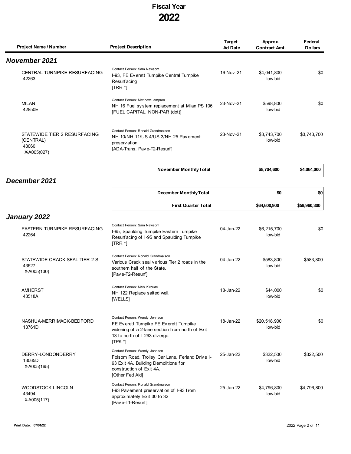| Project Name / Number                                             | <b>Project Description</b>                                                                                                                                                  | <b>Target</b><br><b>Ad Date</b> | Approx.<br><b>Contract Amt.</b> | Federal<br><b>Dollars</b> |
|-------------------------------------------------------------------|-----------------------------------------------------------------------------------------------------------------------------------------------------------------------------|---------------------------------|---------------------------------|---------------------------|
| <b>November 2021</b>                                              |                                                                                                                                                                             |                                 |                                 |                           |
| CENTRAL TURNPIKE RESURFACING<br>42263                             | Contact Person: Sam Newsom<br>I-93, FE Everett Turnpike Central Turnpike<br><b>Resurfacing</b><br>$[TRR^*]$                                                                 | 16-Nov-21                       | \$4,041,800<br>low-bid          | \$0                       |
| <b>MILAN</b><br>42850E                                            | Contact Person: Matthew Lampron<br>NH 16 Fuel system replacement at Milan PS 106<br>[FUEL CAPITAL, NON-PAR (dot)]                                                           | 23-Nov-21                       | \$598,800<br>low-bid            | \$0                       |
| STATEWIDE TIER 2 RESURFACING<br>(CENTRAL)<br>43060<br>X-A005(027) | Contact Person: Ronald Grandmaison<br>NH 10/NH 11/US 4/US 3/NH 25 Pavement<br>preserv ation<br>[ADA-Trans, Pave-T2-Resurf]                                                  | 23-Nov-21                       | \$3,743,700<br>low-bid          | \$3,743,700               |
|                                                                   | November Monthly Total                                                                                                                                                      |                                 | \$8,704,600                     | \$4,064,000               |
| December 2021                                                     |                                                                                                                                                                             |                                 |                                 |                           |
|                                                                   | <b>December Monthly Total</b>                                                                                                                                               |                                 | \$0                             | \$0                       |
|                                                                   | <b>First Quarter Total</b>                                                                                                                                                  |                                 | \$64,600,900                    | \$59,960,300              |
| January 2022                                                      |                                                                                                                                                                             |                                 |                                 |                           |
| <b>EASTERN TURNPIKE RESURFACING</b><br>42264                      | Contact Person: Sam Newsom<br>I-95, Spaulding Turnpike Eastern Turnpike<br>Resurfacing of 1-95 and Spaulding Turnpike<br>$[TRR^*]$                                          | 04-Jan-22                       | \$6,215,700<br>low-bid          | \$0                       |
| STATEWIDE CRACK SEAL TIER 2 S<br>43527<br>X-A005(130)             | Contact Person: Ronald Grandmaison<br>Various Crack seal various Tier 2 roads in the<br>southern half of the State.<br>[Pave-T2-Resurf]                                     | 04-Jan-22                       | \$583,800<br>low-bid            | \$583,800                 |
| AMHERST<br>43518A                                                 | Contact Person: Mark Kirouac<br>NH 122 Replace salted well.<br>[WELLS]                                                                                                      | 18-Jan-22                       | \$44,000<br>low-bid             | \$0                       |
| NASHUA-MERRIMACK-BEDFORD<br>13761D                                | Contact Person: Wendy Johnson<br>FE Ev erett Turnpike FE Ev erett Turnpike<br>widening of a 2-lane section from north of Exit<br>13 to north of 1-293 diverge.<br>$[TPK^*]$ | 18-Jan-22                       | \$20,518,900<br>low-bid         | \$0                       |
| DERRY-LONDONDERRY<br>13065D<br>X-A005(165)                        | Contact Person: Wendy Johnson<br>Folsom Road, Trolley Car Lane, Ferland Drive I-<br>93 Exit 4A, Building Demolitions for<br>construction of Exit 4A.<br>[Other Fed Aid]     | 25-Jan-22                       | \$322,500<br>low-bid            | \$322,500                 |
| WOODSTOCK-LINCOLN<br>43494<br>X-A005(117)                         | Contact Person: Ronald Grandmaison<br>I-93 Pavement preservation of I-93 from<br>approximately Exit 30 to 32<br>[Pave-T1-Resurf]                                            | 25-Jan-22                       | \$4,796,800<br>low-bid          | \$4,796,800               |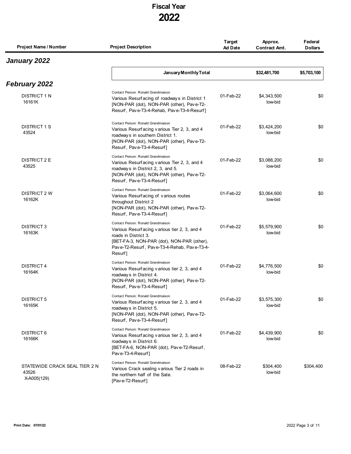| Project Name / Number                                 | <b>Project Description</b>                                                                                                                                                                                         | Target<br><b>Ad Date</b> | Approx.<br><b>Contract Amt.</b> | Federal<br><b>Dollars</b> |
|-------------------------------------------------------|--------------------------------------------------------------------------------------------------------------------------------------------------------------------------------------------------------------------|--------------------------|---------------------------------|---------------------------|
| January 2022                                          |                                                                                                                                                                                                                    |                          |                                 |                           |
|                                                       | January Monthly Total                                                                                                                                                                                              |                          | \$32,481,700                    | \$5,703,100               |
| <b>February 2022</b>                                  |                                                                                                                                                                                                                    |                          |                                 |                           |
| <b>DISTRICT 1 N</b><br>16161K                         | Contact Person: Ronald Grandmaison<br>Various Resurfacing of roadways in District 1<br>[NON-PAR (dot), NON-PAR (other), Pave-T2-<br>Resurf, Pave-T3-4-Rehab, Pave-T3-4-Resurf]                                     | 01-Feb-22                | \$4,343,500<br>low-bid          | \$0                       |
| <b>DISTRICT 1 S</b><br>43524                          | Contact Person: Ronald Grandmaison<br>Various Resurfacing various Tier 2, 3, and 4<br>roadways in southern District 1.<br>[NON-PAR (dot), NON-PAR (other), Pave-T2-<br>Resurf, Pave-T3-4-Resurf]                   | 01-Feb-22                | \$3,424,200<br>low-bid          | \$0                       |
| <b>DISTRICT 2 E</b><br>43525                          | Contact Person: Ronald Grandmaison<br>Various Resurfacing various Tier 2, 3, and 4<br>roadways in District 2, 3, and 5.<br>[NON-PAR (dot), NON-PAR (other), Pave-T2-<br>Resurf, Pave-T3-4-Resurf]                  | 01-Feb-22                | \$3,088,200<br>low-bid          | \$0                       |
| DISTRICT 2 W<br>16162K                                | Contact Person: Ronald Grandmaison<br>Various Resurfacing of various routes<br>throughout District 2<br>[NON-PAR (dot), NON-PAR (other), Pave-T2-<br>Resurf, Pave-T3-4-Resurf]                                     | 01-Feb-22                | \$3,064,600<br>low-bid          | \$0                       |
| <b>DISTRICT 3</b><br>16163K                           | Contact Person: Ronald Grandmaison<br>Various Resurfacing various tier 2, 3, and 4<br>roads in District 3.<br>[BET-FA-3, NON-PAR (dot), NON-PAR (other),<br>Pave-T2-Resurf, Pave-T3-4-Rehab, Pave-T3-4-<br>Resurf] | 01-Feb-22                | \$5,579,900<br>low-bid          | \$0                       |
| <b>DISTRICT 4</b><br>16164K                           | Contact Person: Ronald Grandmaison<br>Various Resurfacing various tier 2, 3, and 4<br>roadways in District 4.<br>[NON-PAR (dot), NON-PAR (other), Pave-T2-<br>Resurf, Pave-T3-4-Resurf]                            | 01-Feb-22                | \$4,776,500<br>low-bid          | \$0                       |
| DISTRICT 5<br>16165K                                  | Contact Person: Ronald Grandmaison<br>Various Resurfacing various tier 2, 3, and 4<br>roadways in District 5.<br>[NON-PAR (dot), NON-PAR (other), Pave-T2-<br>Resurf, Pave-T3-4-Resurf]                            | 01-Feb-22                | \$3,575,300<br>low-bid          | \$0                       |
| DISTRICT 6<br>16166K                                  | Contact Person: Ronald Grandmaison<br>Various Resurfacing various tier 2, 3, and 4<br>roadways in District 6.<br>[BET-FA-6, NON-PAR (dot), Pave-T2-Resurf,<br>Pave-T3-4-Resurf]                                    | 01-Feb-22                | \$4,439,900<br>low-bid          | \$0                       |
| STATEWIDE CRACK SEAL TIER 2 N<br>43526<br>X-A005(129) | Contact Person: Ronald Grandmaison<br>Various Crack sealing various Tier 2 roads in<br>the northern half of the Sate.<br>[Pave-T2-Resurf]                                                                          | 08-Feb-22                | \$304,400<br>low-bid            | \$304,400                 |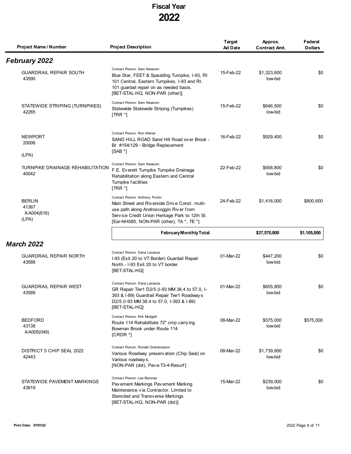| Project Name / Number                          | <b>Project Description</b>                                                                                                                                                                                              | Target<br><b>Ad Date</b> | Approx.<br><b>Contract Amt.</b> | Federal<br><b>Dollars</b> |
|------------------------------------------------|-------------------------------------------------------------------------------------------------------------------------------------------------------------------------------------------------------------------------|--------------------------|---------------------------------|---------------------------|
| <b>February 2022</b>                           |                                                                                                                                                                                                                         |                          |                                 |                           |
| <b>GUARDRAIL REPAIR SOUTH</b><br>43590         | Contact Person: Sam Newsom<br>Blue Star, FEET & Spaulding Turnpike, I-93, Rt<br>101 Central, Eastern Turnpikes, I-93 and Rt.<br>101 guardail repair on as needed basis.<br>[BET-STAL-HQ, NON-PAR (other)]               | 15-Feb-22                | \$1,323,600<br>low-bid          | \$0                       |
| STATEWIDE STRIPING (TURNPIKES)<br>42265        | Contact Person: Sam Newsom<br>Statewide Statewide Striping (Turnpikes)<br>$[TRR^*]$                                                                                                                                     | 15-Feb-22                | \$646,500<br>low-bid            | \$0                       |
| <b>NEWPORT</b><br>20006<br>(LPA)               | Contact Person: Ron Kleiner<br>SAND HILL ROAD Sand Hill Road over Brook -<br>Br. #154/129 - Bridge Replacement<br>$[SAB^*]$                                                                                             | 16-Feb-22                | \$929,400                       | \$0                       |
| TURNPIKE DRAINAGE REHABILITATION<br>40042      | Contact Person: Sam Newsom<br>F.E. Everett Turnpike Turnpike Drainage<br>Rehabilitation along Eastern and Central<br>Turnpike facilities<br>$[TRR^*]$                                                                   | 22-Feb-22                | \$658,800<br>low-bid            | \$0                       |
| <b>BERLIN</b><br>41367<br>X-A004(616)<br>(LPA) | Contact Person: Anthony Puntin<br>Main Street and Riverside Drive Const. multi-<br>use path along Androscoggin River from<br>Service Credit Union Heritage Park to 12th St.<br>[Ear-NH085, NON-PAR (other), TA *, TE *] | 24-Feb-22                | \$1,416,000                     | \$800,600                 |
|                                                | <b>February Monthly Total</b>                                                                                                                                                                                           |                          | \$37,570,800                    | \$1,105,000               |
| <b>March 2022</b>                              | Contact Person: Dana Lacasse                                                                                                                                                                                            |                          |                                 |                           |
| <b>GUARDRAIL REPAIR NORTH</b><br>43588         | I-93 (Exit 20 to VT Border) Guardail Repair<br>North - I-93 Exit 20 to VT border<br>[BET-STAL-HQ]                                                                                                                       | 01-Mar-22                | \$447,200<br>low-bid            | \$0                       |
| <b>GUARDRAIL REPAIR WEST</b><br>43589          | Contact Person: Dana Lacasse<br>GR Repair Tier1 D2/5 (I-93 MM 38.4 to 57.0, I-<br>393 & I-89) Guardrail Repair Tier1 Roadways<br>D2/5 (I-93 MM 38.4 to 57.0, I-393 & I-89)<br>[BET-STAL-HQ]                             | 01-Mar-22                | \$655,800<br>low-bid            | \$0                       |
| <b>BEDFORD</b><br>43138<br>X-A005(049)         | Contact Person: Kirk Mudgett<br>Route 114 Rehabilitate 72" cmp carrying<br>Bowman Brook under Route 114<br>[CRDR <sup>*</sup> ]                                                                                         | 08-Mar-22                | \$575,000<br>low-bid            | \$575,000                 |
| DISTRICT 5 CHIP SEAL 2022<br>42443             | Contact Person: Ronald Grandmaison<br>Various Roadway preservation (Chip Seal) on<br>Various roadways.<br>[NON-PAR (dot), Pave-T3-4-Resurf]                                                                             | 08-Mar-22                | \$1,739,800<br>low-bid          | \$0                       |
| STATEWIDE PAVEMENT MARKINGS<br>43819           | Contact Person: Lee Baronas<br>Pav ement Markings Pav ement Marking<br>Maintenance via Contractor. Limited to<br>Stenciled and Transverse Markings<br>[BET-STAL-HQ, NON-PAR (dot)]                                      | 15-Mar-22                | \$239,000<br>low-bid            | \$0                       |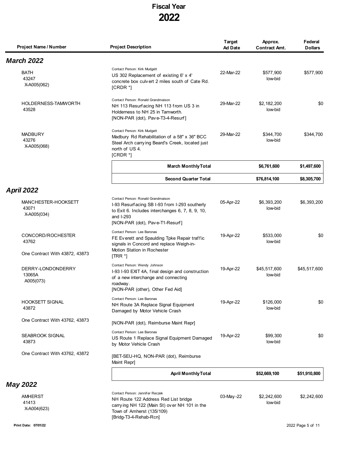| Project Name / Number                                        | <b>Project Description</b>                                                                                                                                                              | <b>Target</b><br><b>Ad Date</b> | Approx.<br><b>Contract Amt.</b> | Federal<br><b>Dollars</b> |
|--------------------------------------------------------------|-----------------------------------------------------------------------------------------------------------------------------------------------------------------------------------------|---------------------------------|---------------------------------|---------------------------|
| <b>March 2022</b>                                            |                                                                                                                                                                                         |                                 |                                 |                           |
| BATH<br>43247<br>X-A005(062)                                 | Contact Person: Kirk Mudgett<br>US 302 Replacement of existing 6' x 4'<br>concrete box culvert 2 miles south of Cate Rd.<br>$[CRDR*]$                                                   | 22-Mar-22                       | \$577,900<br>low-bid            | \$577,900                 |
| HOLDERNESS-TAMWORTH<br>43528                                 | Contact Person: Ronald Grandmaison<br>NH 113 Resurfacing NH 113 from US 3 in<br>Holderness to NH 25 in Tamworth.<br>[NON-PAR (dot), Pave-T3-4-Resurf]                                   | 29-Mar-22                       | \$2,182,200<br>low-bid          | \$0                       |
| <b>MADBURY</b><br>43276<br>X-A005(068)                       | Contact Person: Kirk Mudgett<br>Madbury Rd Rehabilitation of a 58" x 36" BCC<br>Steel Arch carrying Beard's Creek, located just<br>north of US 4.<br>$[CRDR*]$                          | 29-Mar-22                       | \$344,700<br>low-bid            | \$344,700                 |
|                                                              | <b>March Monthly Total</b>                                                                                                                                                              |                                 | \$6,761,600                     | \$1,497,600               |
|                                                              | <b>Second Quarter Total</b>                                                                                                                                                             |                                 | \$76,814,100                    | \$8,305,700               |
| <b>April 2022</b>                                            |                                                                                                                                                                                         |                                 |                                 |                           |
| MANCHESTER-HOOKSETT<br>43071<br>X-A005(034)                  | Contact Person: Ronald Grandmaison<br>I-93 Resurfacing SB I-93 from I-293 southerly<br>to Exit 6. Includes interchanges 6, 7, 8, 9, 10,<br>and I-293<br>[NON-PAR (dot), Pave-T1-Resurf] | 05-Apr-22                       | \$6,393,200<br>low-bid          | \$6,393,200               |
| CONCORD/ROCHESTER<br>43762<br>One Contract With 43872, 43873 | Contact Person: Lee Baronas<br>FE Everett and Spaulding Tpke Repair traffic<br>signals in Concord and replace Weigh-in-<br>Motion Station in Rochester<br>$[TRR^*]$                     | 19-Apr-22                       | \$533,000<br>low-bid            | \$0                       |
| DERRY-LONDONDERRY<br>13065A<br>A005(073)                     | Contact Person: Wendy Johnson<br>I-93 I-93 EXIT 4A, final design and construction<br>of a new interchange and connecting<br>roadway.<br>[NON-PAR (other), Other Fed Aid]                | 19-Apr-22                       | \$45,517,600<br>low-bid         | \$45,517,600              |
| <b>HOOKSETT SIGNAL</b><br>43872                              | Contact Person: Lee Baronas<br>NH Route 3A Replace Signal Equipment<br>Damaged by Motor Vehicle Crash                                                                                   | 19-Apr-22                       | \$126,000<br>low-bid            | \$0                       |
| One Contract With 43762, 43873                               | [NON-PAR (dot), Reimburse Maint Repr]                                                                                                                                                   |                                 |                                 |                           |
| SEABROOK SIGNAL<br>43873                                     | Contact Person: Lee Baronas<br>US Route 1 Replace Signal Equipment Damaged<br>by Motor Vehicle Crash                                                                                    | 19-Apr-22                       | \$99,300<br>low-bid             | \$0                       |
| One Contract With 43762, 43872                               | [BET-SEU-HQ, NON-PAR (dot), Reimburse<br>Maint Repr]                                                                                                                                    |                                 |                                 |                           |
|                                                              | <b>April Monthly Total</b>                                                                                                                                                              |                                 | \$52,669,100                    | \$51,910,800              |
| <b>May 2022</b>                                              |                                                                                                                                                                                         |                                 |                                 |                           |
| AMHERST<br>41413<br>X-A004(623)                              | Contact Person: Jennifer Reczek<br>NH Route 122 Address Red List bridge<br>carrying NH 122 (Main St) over NH 101 in the<br>Town of Amherst (135/109)                                    | 03-May-22                       | \$2,242,600<br>low-bid          | \$2,242,600               |

[Bridg-T3-4-Rehab-Rcn]

 $\blacksquare$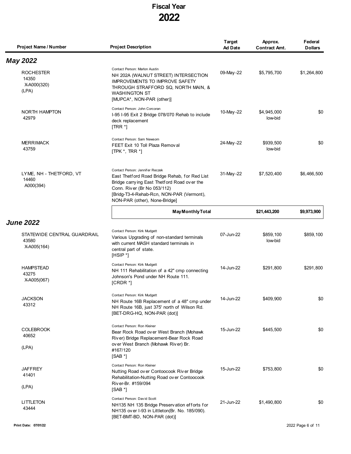| Project Name / Number                               | <b>Project Description</b>                                                                                                                                                                                                                   | <b>Target</b><br><b>Ad Date</b> | Approx.<br><b>Contract Amt.</b> | Federal<br><b>Dollars</b> |
|-----------------------------------------------------|----------------------------------------------------------------------------------------------------------------------------------------------------------------------------------------------------------------------------------------------|---------------------------------|---------------------------------|---------------------------|
| <b>May 2022</b>                                     |                                                                                                                                                                                                                                              |                                 |                                 |                           |
| <b>ROCHESTER</b><br>14350<br>X-A000(320)<br>(LPA)   | Contact Person: Marlon Austin<br>NH 202A (WALNUT STREET) INTERSECTION<br>IMPROVEMENTS TO IMPROVE SAFETY<br>THROUGH STRAFFORD SQ, NORTH MAIN, &<br><b>WASHINGTON ST</b><br>[MUPCA*, NON-PAR (other)]                                          | 09-May-22                       | \$5,795,700                     | \$1,264,800               |
| NORTH HAMPTON<br>42979                              | Contact Person: John Corcoran<br>I-95 I-95 Exit 2 Bridge 078/070 Rehab to include<br>deck replacement<br>$[TRR^*]$                                                                                                                           | 10-May-22                       | \$4,945,000<br>low-bid          | \$0                       |
| <b>MERRIMACK</b><br>43759                           | Contact Person: Sam Newsom<br>FEET Exit 10 Toll Plaza Removal<br>[TPK *, TRR *]                                                                                                                                                              | 24-May-22                       | \$939,500<br>low-bid            | \$0                       |
| LYME, NH - THETFORD, VT<br>14460<br>A000(394)       | Contact Person: Jennifer Reczek<br>East Thetford Road Bridge Rehab, for Red List<br>Bridge carrying East Thetford Road over the<br>Conn. River (Br No 053/112)<br>[Bridg-T3-4-Rehab-Rcn, NON-PAR (Vermont),<br>NON-PAR (other), None-Bridge] | 31-May-22                       | \$7,520,400                     | \$6,466,500               |
|                                                     | <b>May Monthly Total</b>                                                                                                                                                                                                                     |                                 | \$21,443,200                    | \$9,973,900               |
| <b>June 2022</b>                                    |                                                                                                                                                                                                                                              |                                 |                                 |                           |
| STATEWIDE CENTRAL GUARDRAIL<br>43580<br>X-A005(164) | Contact Person: Kirk Mudgett<br>Various Upgrading of non-standard terminals<br>with current MASH standard terminals in<br>central part of state.<br>$[HSIP^*]$                                                                               | 07-Jun-22                       | \$859,100<br>low-bid            | \$859,100                 |
| <b>HAMPSTEAD</b><br>43275<br>X-A005(067)            | Contact Person: Kirk Mudgett<br>NH 111 Rehabilitation of a 42" cmp connecting<br>Johnson's Pond under NH Route 111.<br>$[CRDR*]$                                                                                                             | 14-Jun-22                       | \$291,800                       | \$291,800                 |
| <b>JACKSON</b><br>43312                             | Contact Person: Kirk Mudgett<br>NH Route 16B Replacement of a 48" cmp under<br>NH Route 16B, just 375' north of Wilson Rd.<br>[BET-DRG-HQ, NON-PAR (dot)]                                                                                    | 14-Jun-22                       | \$409,900                       | \$0                       |
| <b>COLEBROOK</b><br>40652<br>(LPA)                  | Contact Person: Ron Kleiner<br>Bear Rock Road over West Branch (Mohawk<br>River) Bridge Replacement-Bear Rock Road<br>over West Branch (Mohawk River) Br.<br>#167/120<br>$[SAB^*]$                                                           | 15-Jun-22                       | \$445,500                       | \$0                       |
| <b>JAFFREY</b><br>41401<br>(LPA)                    | Contact Person: Ron Kleiner<br>Nutting Road over Contoocook River Bridge<br>Rehabilitation-Nutting Road over Contoocook<br>River-Br. #159/094<br>$[SAB^*]$                                                                                   | 15-Jun-22                       | \$753,800                       | \$0                       |
| LITTLETON<br>43444                                  | Contact Person: David Scott<br>NH135 NH 135 Bridge Preservation efforts for<br>NH135 over I-93 in Littleton(Br. No. 185/090).<br>[BET-BMT-BD, NON-PAR (dot)]                                                                                 | 21-Jun-22                       | \$1,490,800                     | \$0                       |
| Print Date: 07/01/22                                |                                                                                                                                                                                                                                              |                                 |                                 | 2022 Page 6 of 11         |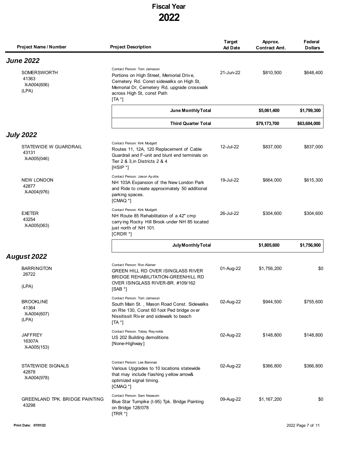| Project Name / Number                            | <b>Project Description</b>                                                                                                                                                                                   | Target<br><b>Ad Date</b> | Approx.<br><b>Contract Amt.</b> | Federal<br><b>Dollars</b> |
|--------------------------------------------------|--------------------------------------------------------------------------------------------------------------------------------------------------------------------------------------------------------------|--------------------------|---------------------------------|---------------------------|
| <b>June 2022</b>                                 |                                                                                                                                                                                                              |                          |                                 |                           |
| SOMERSWORTH<br>41363<br>X-A004(606)<br>(LPA)     | Contact Person: Tom Jameson<br>Portions on High Street, Memorial Drive,<br>Cemetery Rd. Const sidewalks on High St,<br>Memorial Dr, Cemetery Rd, upgrade crosswalk<br>across High St, const Path<br>$[TA^*]$ | 21-Jun-22                | \$810,500                       | \$648,400                 |
|                                                  | June Monthly Total                                                                                                                                                                                           |                          | \$5,061,400                     | \$1,799,300               |
|                                                  | <b>Third Quarter Total</b>                                                                                                                                                                                   |                          | \$79,173,700                    | \$63,684,000              |
| <b>July 2022</b>                                 |                                                                                                                                                                                                              |                          |                                 |                           |
| STATEWIDE W GUARDRAIL<br>43131<br>X-A005(046)    | Contact Person: Kirk Mudgett<br>Routes 11, 12A, 120 Replacement of Cable<br>Guardrail and F-unit and blunt end terminals on<br>Tier 2 & 3 in Districts 2 & 4<br>$[HSIP^*]$                                   | 12-Jul-22                | \$837,000                       | \$837,000                 |
| <b>NEW LONDON</b><br>42877<br>X-A004(976)        | Contact Person: Jason Ay otte<br>NH 103A Expansion of the New London Park<br>and Ride to create approximately 50 additional<br>parking spaces.<br>$[CMAQ^*]$                                                 | 19-Jul-22                | \$664,000                       | \$615,300                 |
| EXETER<br>43254<br>X-A005(063)                   | Contact Person: Kirk Mudgett<br>NH Route 85 Rehabilitation of a 42" cmp<br>carrying Rocky Hill Brook under NH 85 located<br>just north of NH 101.<br>$[CRDR*]$                                               | 26-Jul-22                | \$304,600                       | \$304,600                 |
|                                                  | July Monthly Total                                                                                                                                                                                           |                          | \$1,805,600                     | \$1,756,900               |
| August 2022                                      |                                                                                                                                                                                                              |                          |                                 |                           |
| <b>BARRINGTON</b><br>26722<br>(LPA)              | Contact Person: Ron Kleiner<br>GREEN HILL RD OVER ISINGLASS RIVER<br><b>BRIDGE REHABILITATION-GREENHILL RD</b><br>OVER ISINGLASS RIVER-BR. #109/162<br>[SAB!]                                                | 01-Aug-22                | \$1,756,200                     | \$0                       |
| BROOKLINE<br>41364<br>X-A004(607)<br>(LPA)       | Contact Person: Tom Jameson<br>South Main St., Mason Road Const. Sidewalks<br>on Rte 130, Const 60 foot Ped bridge over<br>Nissitissit River and sidewalk to beach<br>$[TA^*]$                               | 02-Aug-22                | \$944,500                       | \$755,600                 |
| <b>JAFFREY</b><br>16307A<br>X-A005(153)          | Contact Person: Tobey Reynolds<br>US 202 Building demolitions<br>[None-Highway]                                                                                                                              | 02-Aug-22                | \$148,800                       | \$148,800                 |
| <b>STATEWIDE SIGNALS</b><br>42878<br>X-A004(978) | Contact Person: Lee Baronas<br>Various Upgrades to 10 locations statewide<br>that may include flashing yellow arrow&<br>optimized signal timing.<br>[CMAQ <sup>*</sup> ]                                     | 02-Aug-22                | \$366,800                       | \$366,800                 |
| <b>GREENLAND TPK. BRIDGE PAINTING</b><br>43298   | Contact Person: Sam Newsom<br>Blue Star Turnpike (I-95) Tpk. Bridge Painting<br>on Bridge 128/078<br>$[TRR^*]$                                                                                               | 09-Aug-22                | \$1,167,200                     | \$0                       |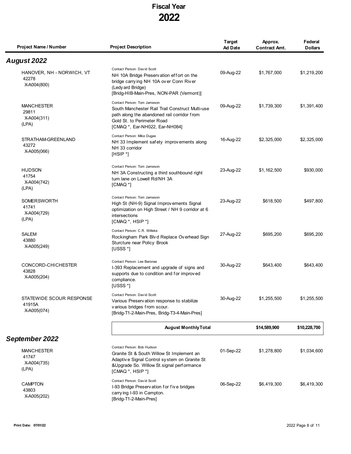| Project Name / Number                              | <b>Project Description</b>                                                                                                                                                                    | <b>Target</b><br><b>Ad Date</b> | Approx.<br><b>Contract Amt.</b> | Federal<br><b>Dollars</b> |
|----------------------------------------------------|-----------------------------------------------------------------------------------------------------------------------------------------------------------------------------------------------|---------------------------------|---------------------------------|---------------------------|
| August 2022                                        |                                                                                                                                                                                               |                                 |                                 |                           |
| HANOVER, NH - NORWICH, VT<br>42278<br>X-A004(800)  | Contact Person: David Scott<br>NH 10A Bridge Preservation effort on the<br>bridge carrying NH 10A over Conn River<br>(Ledy ard Bridge)<br>[Bridg-HIB-Main-Pres, NON-PAR (Vermont)]            | 09-Aug-22                       | \$1,767,000                     | \$1,219,200               |
| <b>MANCHESTER</b><br>29811<br>X-A004(311)<br>(LPA) | Contact Person: Tom Jameson<br>South Manchester Rail Trail Construct Multi-use<br>path along the abandoned rail corridor from<br>Gold St. to Perimeter Road<br>[CMAQ *, Ear-NH022, Ear-NH084] | 09-Aug-22                       | \$1,739,300                     | \$1,391,400               |
| STRATHAM-GREENLAND<br>43272<br>X-A005(066)         | Contact Person: Mike Dugas<br>NH 33 Implement safety improvements along<br>NH 33 corridor<br>$[HSIP^*]$                                                                                       | 16-Aug-22                       | \$2,325,000                     | \$2,325,000               |
| <b>HUDSON</b><br>41754<br>X-A004(742)<br>(LPA)     | Contact Person: Tom Jameson<br>NH 3A Constructing a third southbound right<br>turn lane on Lowell Rd/NH 3A<br>[CMAQ <sup>*</sup> ]                                                            | 23-Aug-22                       | \$1,162,500                     | \$930,000                 |
| SOMERSWORTH<br>41741<br>X-A004(729)<br>(LPA)       | Contact Person: Tom Jameson<br>High St (NH-9) Signal Improv ements Signal<br>optimization on High Street / NH 9 corridor at 6<br>intersections<br>[CMAQ *, HSIP *]                            | 23-Aug-22                       | \$618,500                       | \$497,800                 |
| <b>SALEM</b><br>43880<br>X-A005(249)               | Contact Person: C.R. Willeke<br>Rockingham Park Blvd Replace Overhead Sign<br>Sturcture near Policy Brook<br>[USSS $*$ ]                                                                      | 27-Aug-22                       | \$695,200                       | \$695,200                 |
| CONCORD-CHICHESTER<br>43828<br>X-A005(204)         | Contact Person: Lee Baronas<br>I-393 Replacement and upgrade of signs and<br>supports due to condition and for improved<br>compliance.<br>[USSS *]                                            | 30-Aug-22                       | \$643,400                       | \$643,400                 |
| STATEWIDE SCOUR RESPONSE<br>41915A<br>X-A005(074)  | Contact Person: David Scott<br>Various Preservation response to stabilize<br>various bridges from scour.<br>[Bridg-T1-2-Main-Pres, Bridg-T3-4-Main-Pres]                                      | 30-Aug-22                       | \$1,255,500                     | \$1,255,500               |
|                                                    | <b>August Monthly Total</b>                                                                                                                                                                   |                                 | \$14,589,900                    | \$10,228,700              |
| September 2022                                     |                                                                                                                                                                                               |                                 |                                 |                           |
| <b>MANCHESTER</b><br>41747<br>X-A004(735)<br>(LPA) | Contact Person: Bob Hudson<br>Granite St & South Willow St Implement an<br>Adaptive Signal Control system on Granite St<br>&Upgrade So. Willow St.signal performance<br>[CMAQ *, HSIP *]      | 01-Sep-22                       | \$1,278,800                     | \$1,034,600               |
| <b>CAMPTON</b><br>43803<br>X-A005(202)             | Contact Person: David Scott<br>I-93 Bridge Preservation for five bridges<br>carrying I-93 in Campton.<br>[Bridg-T1-2-Main-Pres]                                                               | 06-Sep-22                       | \$6,419,300                     | \$6,419,300               |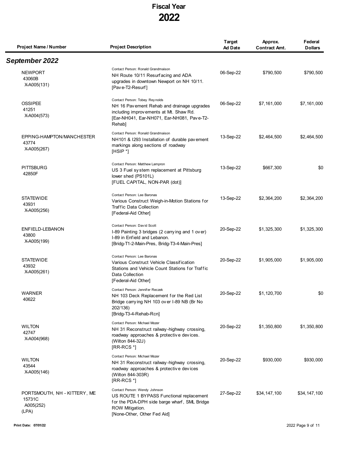| Project Name / Number                                        | <b>Project Description</b>                                                                                                                                                      | <b>Target</b><br><b>Ad Date</b> | Approx.<br><b>Contract Amt.</b> | Federal<br><b>Dollars</b> |
|--------------------------------------------------------------|---------------------------------------------------------------------------------------------------------------------------------------------------------------------------------|---------------------------------|---------------------------------|---------------------------|
| September 2022                                               |                                                                                                                                                                                 |                                 |                                 |                           |
| <b>NEWPORT</b><br>43060B<br>X-A005(131)                      | Contact Person: Ronald Grandmaison<br>NH Route 10/11 Resurfacing and ADA<br>upgrades in downtown Newport on NH 10/11.<br>[Pave-T2-Resurf]                                       | 06-Sep-22                       | \$790,500                       | \$790,500                 |
| <b>OSSIPEE</b><br>41251<br>X-A004(573)                       | Contact Person: Tobey Reynolds<br>NH 16 Pav ement Rehab and drainage upgrades<br>including improvements at Mt. Shaw Rd.<br>[Ear-NH041, Ear-NH071, Ear-NH081, Pave-T2-<br>Rehab] | 06-Sep-22                       | \$7,161,000                     | \$7,161,000               |
| EPPING-HAMPTON/MANCHESTER<br>43774<br>X-A005(267)            | Contact Person: Ronald Grandmaison<br>NH101 & I293 Installation of durable pavement<br>markings along sections of roadway<br>[HSIP <sup>*</sup> ]                               | 13-Sep-22                       | \$2,464,500                     | \$2,464,500               |
| <b>PITTSBURG</b><br>42850F                                   | Contact Person: Matthew Lampron<br>US 3 Fuel system replacement at Pittsburg<br>lower shed (PS101L)<br>[FUEL CAPITAL, NON-PAR (dot)]                                            | 13-Sep-22                       | \$667,300                       | \$0                       |
| <b>STATEWIDE</b><br>43931<br>X-A005(256)                     | Contact Person: Lee Baronas<br>Various Construct Weigh-in-Motion Stations for<br><b>Traffic Data Collection</b><br>[Federal-Aid Other]                                          | 13-Sep-22                       | \$2,364,200                     | \$2,364,200               |
| ENFIELD-LEBANON<br>43800<br>X-A005(199)                      | Contact Person: David Scott<br>I-89 Painting 3 bridges (2 carrying and 1 over)<br>I-89 in Enfield and Lebanon.<br>[Bridg-T1-2-Main-Pres, Bridg-T3-4-Main-Pres]                  | 20-Sep-22                       | \$1,325,300                     | \$1,325,300               |
| <b>STATEWIDE</b><br>43932<br>X-A005(261)                     | Contact Person: Lee Baronas<br>Various Construct Vehicle Classification<br>Stations and Vehicle Count Stations for Traffic<br>Data Collection<br>[Federal-Aid Other]            | 20-Sep-22                       | \$1,905,000                     | \$1,905,000               |
| WARNER<br>40622                                              | Contact Person: Jennifer Reczek<br>NH 103 Deck Replacement for the Red List<br>Bridge carrying NH 103 over I-89 NB (Br No<br>202/136)<br>[Bridg-T3-4-Rehab-Rcn]                 | 20-Sep-22                       | \$1,120,700                     | \$0                       |
| <b>WILTON</b><br>42747<br>X-A004(968)                        | Contact Person: Michael Mozer<br>NH 31 Reconstruct railway-highway crossing,<br>roadway approaches & protective devices.<br>(Wilton 844-32J)<br>$[RR-RCS^*]$                    | 20-Sep-22                       | \$1,350,800                     | \$1,350,800               |
| <b>WILTON</b><br>43544<br>X-A005(146)                        | Contact Person: Michael Mozer<br>NH 31 Reconstruct railway-highway crossing,<br>roadway approaches & protective devices<br>(Wilton 844-303R)<br>$[RR-RCS!]$                     | 20-Sep-22                       | \$930,000                       | \$930,000                 |
| PORTSMOUTH, NH - KITTERY, ME<br>15731C<br>A005(252)<br>(LPA) | Contact Person: Wendy Johnson<br>US ROUTE 1 BYPASS Functional replacement<br>for the PDA-DPH side barge wharf, SML Bridge<br>ROW Mitigation.<br>[None-Other, Other Fed Aid]     | 27-Sep-22                       | \$34,147,100                    | \$34,147,100              |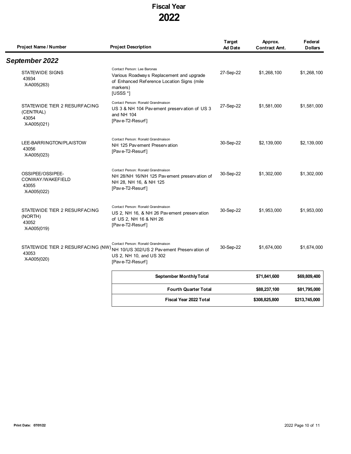| Project Name / Number                                             | <b>Project Description</b>                                                                                                                                         | <b>Target</b><br><b>Ad Date</b> | Approx.<br><b>Contract Amt.</b> | Federal<br><b>Dollars</b> |
|-------------------------------------------------------------------|--------------------------------------------------------------------------------------------------------------------------------------------------------------------|---------------------------------|---------------------------------|---------------------------|
| September 2022                                                    |                                                                                                                                                                    |                                 |                                 |                           |
| <b>STATEWIDE SIGNS</b><br>43934<br>X-A005(263)                    | Contact Person: Lee Baronas<br>Various Roadways Replacement and upgrade<br>of Enhanced Reference Location Signs (mile<br>markers)<br>[USSS $*$ ]                   | 27-Sep-22                       | \$1,268,100                     | \$1,268,100               |
| STATEWIDE TIER 2 RESURFACING<br>(CENTRAL)<br>43054<br>X-A005(021) | Contact Person: Ronald Grandmaison<br>US 3 & NH 104 Pavement preservation of US 3<br>and NH 104<br>[Pave-T2-Resurf]                                                | 27-Sep-22                       | \$1,581,000                     | \$1,581,000               |
| LEE-BARRINGTON/PLAISTOW<br>43056<br>X-A005(023)                   | Contact Person: Ronald Grandmaison<br>NH 125 Pay ement Presery ation<br>[Pave-T2-Resurf]                                                                           | 30-Sep-22                       | \$2,139,000                     | \$2,139,000               |
| OSSIPEE/OSSIPEE-<br>CONWAY/WAKEFIELD<br>43055<br>X-A005(022)      | Contact Person: Ronald Grandmaison<br>NH 28/NH 16/NH 125 Pavement preservation of<br>NH 28, NH 16, & NH 125<br>[Pave-T2-Resurf]                                    | 30-Sep-22                       | \$1,302,000                     | \$1,302,000               |
| STATEWIDE TIER 2 RESURFACING<br>(NORTH)<br>43052<br>X-A005(019)   | Contact Person: Ronald Grandmaison<br>US 2, NH 16, & NH 26 Pav ement preservation<br>of US 2, NH 16 & NH 26<br>[Pave-T2-Resurf]                                    | 30-Sep-22                       | \$1,953,000                     | \$1,953,000               |
| 43053<br>X-A005(020)                                              | Contact Person: Ronald Grandmaison<br>STATEWIDE TIER 2 RESURFACING (NW) NH 10/US 302/US 2 Pav ement Preservation of<br>US 2, NH 10, and US 302<br>[Pave-T2-Resurf] | 30-Sep-22                       | \$1,674,000                     | \$1,674,000               |
|                                                                   | <b>September Monthly Total</b>                                                                                                                                     |                                 | \$71,841,600                    | \$69,809,400              |
|                                                                   | <b>Fourth Quarter Total</b>                                                                                                                                        |                                 | \$88,237,100                    | \$81,795,000              |
|                                                                   | Fiscal Year 2022 Total                                                                                                                                             |                                 | \$308,825,800                   | \$213,745,000             |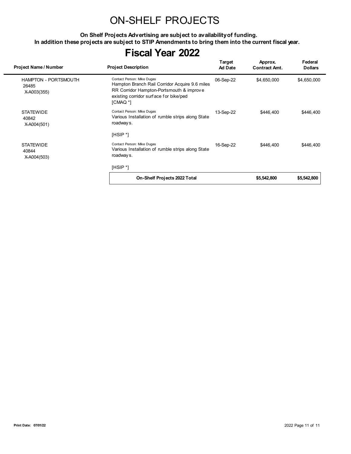## ON-SHELF PROJECTS

**On Shelf Projects Advertising are subject to availability of funding. In addition these projects are subject to STIP Amendments to bring them into the current fiscal year.**

| Project Name / Number                               | <b>Project Description</b>                                                                                                                                                     | Target<br><b>Ad Date</b> | Approx.<br><b>Contract Amt.</b> | Federal<br><b>Dollars</b> |
|-----------------------------------------------------|--------------------------------------------------------------------------------------------------------------------------------------------------------------------------------|--------------------------|---------------------------------|---------------------------|
| <b>HAMPTON - PORTSMOUTH</b><br>26485<br>X-A003(355) | Contact Person: Mike Dugas<br>Hampton Branch Rail Corridor Acquire 9.6 miles<br>RR Corridor Hampton-Portsmouth & improve<br>existing corridor surface for bike/ped<br>[CMAQ *] | 06-Sep-22                | \$4,650,000                     | \$4,650,000               |
| <b>STATEWIDE</b><br>40842<br>X-A004(501)            | Contact Person: Mike Dugas<br>Various Installation of rumble strips along State<br>roadway s.                                                                                  | 13-Sep-22                | \$446.400                       | \$446,400                 |
|                                                     | $[HSIP^*]$                                                                                                                                                                     |                          |                                 |                           |
| <b>STATEWIDE</b><br>40844<br>X-A004(503)            | Contact Person: Mike Dugas<br>Various Installation of rumble strips along State<br>roadway s.                                                                                  | 16-Sep-22                | \$446,400                       | \$446,400                 |
|                                                     | [HSIP *]                                                                                                                                                                       |                          |                                 |                           |
|                                                     | On-Shelf Projects 2022 Total                                                                                                                                                   |                          | \$5,542,800                     | \$5,542,800               |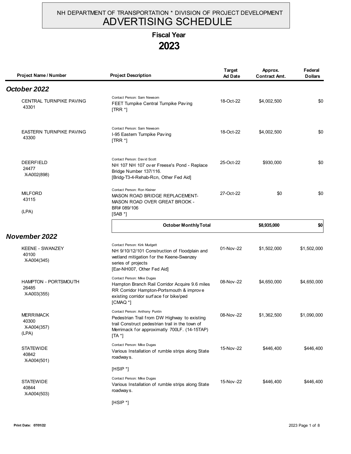#### NH DEPARTMENT OF TRANSPORTATION \* DIVISION OF PROJECT DEVELOPMENT ADVERTISING SCHEDULE

# **Fiscal Year**

### **2023**

| Project Name / Number                               | <b>Project Description</b>                                                                                                                                                                    | <b>Target</b><br><b>Ad Date</b> | Approx.<br><b>Contract Amt.</b> | Federal<br><b>Dollars</b> |
|-----------------------------------------------------|-----------------------------------------------------------------------------------------------------------------------------------------------------------------------------------------------|---------------------------------|---------------------------------|---------------------------|
| October 2022                                        |                                                                                                                                                                                               |                                 |                                 |                           |
| CENTRAL TURNPIKE PAVING<br>43301                    | Contact Person: Sam Newsom<br>FEET Turnpike Central Turnpike Paving<br>$[TRR^*]$                                                                                                              | 18-Oct-22                       | \$4,002,500                     | \$0                       |
| <b>EASTERN TURNPIKE PAVING</b><br>43300             | Contact Person: Sam Newsom<br>I-95 Eastern Turnpike Paving<br>$[TRR^*]$                                                                                                                       | 18-Oct-22                       | \$4,002,500                     | \$0                       |
| <b>DEERFIELD</b><br>24477<br>X-A002(898)            | Contact Person: David Scott<br>NH 107 NH 107 over Freese's Pond - Replace<br>Bridge Number 137/116.<br>[Bridg-T3-4-Rehab-Rcn, Other Fed Aid]                                                  | 25-Oct-22                       | \$930,000                       | \$0                       |
| <b>MILFORD</b><br>43115<br>(LPA)                    | Contact Person: Ron Kleiner<br>MASON ROAD BRIDGE REPLACEMENT-<br>MASON ROAD OVER GREAT BROOK -<br>BR# 089/106<br>$[SAB*]$                                                                     | 27-Oct-22                       | \$0                             | \$0                       |
|                                                     | <b>October Monthly Total</b>                                                                                                                                                                  |                                 | \$8,935,000                     | \$0                       |
| November 2022                                       |                                                                                                                                                                                               |                                 |                                 |                           |
| <b>KEENE - SWANZEY</b><br>40100<br>X-A004(345)      | Contact Person: Kirk Mudgett<br>NH 9/10/12/101 Construction of floodplain and<br>wetland mitigation for the Keene-Swanzey<br>series of projects<br>[Ear-NH007, Other Fed Aid]                 | 01-Nov-22                       | \$1,502,000                     | \$1,502,000               |
| <b>HAMPTON - PORTSMOUTH</b><br>26485<br>X-A003(355) | Contact Person: Mike Dugas<br>Hampton Branch Rail Corridor Acquire 9.6 miles<br>RR Corridor Hampton-Portsmouth & improve<br>existing corridor surface for bike/ped<br>[CMAQ <sup>*</sup> ]    | 08-Nov-22                       | \$4,650,000                     | \$4,650,000               |
| <b>MERRIMACK</b><br>40300<br>X-A004(357)<br>(LPA)   | Contact Person: Anthony Puntin<br>Pedestrian Trail from DW Highway to existing<br>trail Construct pedestrian trail in the town of<br>Merrimack for approximatly 700LF. (14-15TAP)<br>$[TA^*]$ | 08-Nov-22                       | \$1,362,500                     | \$1,090,000               |
| <b>STATEWIDE</b><br>40842<br>X-A004(501)            | Contact Person: Mike Dugas<br>Various Installation of rumble strips along State<br>roadways.                                                                                                  | 15-Nov-22                       | \$446,400                       | \$446,400                 |
|                                                     | $[HSIP^*]$                                                                                                                                                                                    |                                 |                                 |                           |
| <b>STATEWIDE</b><br>40844<br>X-A004(503)            | Contact Person: Mike Dugas<br>Various Installation of rumble strips along State<br>roadways.                                                                                                  | 15-Nov-22                       | \$446,400                       | \$446,400                 |
|                                                     | $[HSIP^*]$                                                                                                                                                                                    |                                 |                                 |                           |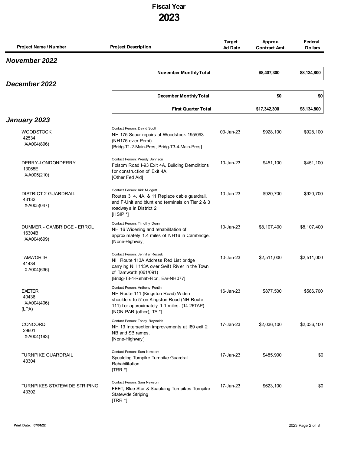| Project Name / Number                               | <b>Project Description</b>                                                                                                                                                                    | <b>Target</b><br><b>Ad Date</b> | Approx.<br><b>Contract Amt.</b> | Federal<br><b>Dollars</b> |
|-----------------------------------------------------|-----------------------------------------------------------------------------------------------------------------------------------------------------------------------------------------------|---------------------------------|---------------------------------|---------------------------|
| <b>November 2022</b>                                |                                                                                                                                                                                               |                                 |                                 |                           |
|                                                     | November Monthly Total                                                                                                                                                                        |                                 | \$8,407,300                     | \$8,134,800               |
| December 2022                                       |                                                                                                                                                                                               |                                 |                                 |                           |
|                                                     | <b>December Monthly Total</b>                                                                                                                                                                 |                                 | \$0                             | \$0                       |
|                                                     | <b>First Quarter Total</b>                                                                                                                                                                    |                                 | \$17,342,300                    | \$8,134,800               |
| January 2023                                        |                                                                                                                                                                                               |                                 |                                 |                           |
| <b>WOODSTOCK</b><br>42534<br>X-A004(896)            | Contact Person: David Scott<br>NH 175 Scour repairs at Woodstock 195/093<br>(NH175 over Pemi).<br>[Bridg-T1-2-Main-Pres, Bridg-T3-4-Main-Pres]                                                | 03-Jan-23                       | \$928,100                       | \$928,100                 |
| DERRY-LONDONDERRY<br>13065E<br>X-A005(210)          | Contact Person: Wendy Johnson<br>Folsom Road I-93 Exit 4A, Building Demolitions<br>for construction of Exit 4A.<br>[Other Fed Aid]                                                            | 10-Jan-23                       | \$451,100                       | \$451,100                 |
| <b>DISTRICT 2 GUARDRAIL</b><br>43132<br>X-A005(047) | Contact Person: Kirk Mudgett<br>Routes 3, 4, 4A, & 11 Replace cable guardrail,<br>and F-Unit and blunt end terminals on Tier 2 & 3<br>roadways in District 2.<br>[HSIP *]                     | 10-Jan-23                       | \$920,700                       | \$920,700                 |
| DUMMER - CAMBRIDGE - ERROL<br>16304B<br>X-A004(699) | Contact Person: Timothy Dunn<br>NH 16 Widening and rehabilitation of<br>approximately 1.4 miles of NH16 in Cambridge.<br>[None-Highway]                                                       | 10-Jan-23                       | \$8,107,400                     | \$8,107,400               |
| <b>TAMWORTH</b><br>41434<br>X-A004(636)             | Contact Person: Jennifer Reczek<br>NH Route 113A Address Red List bridge<br>carrying NH 113A over Swift River in the Town<br>of Tamworth (061/091)<br>[Bridg-T3-4-Rehab-Rcn, Ear-NH077]       | 10-Jan-23                       | \$2,511,000                     | \$2,511,000               |
| <b>EXETER</b><br>40436<br>X-A004(406)<br>(LPA)      | Contact Person: Anthony Puntin<br>NH Route 111 (Kingston Road) Widen<br>shoulders to 5' on Kingston Road (NH Route<br>111) for approximately 1.1 miles. (14-26TAP)<br>[NON-PAR (other), TA *] | 16-Jan-23                       | \$877,500                       | \$586,700                 |
| <b>CONCORD</b><br>29601<br>X-A004(193)              | Contact Person: Tobey Reynolds<br>NH 13 Intersection improvements at 189 exit 2<br>NB and SB ramps.<br>[None-Highway]                                                                         | 17-Jan-23                       | \$2,036,100                     | \$2,036,100               |
| <b>TURNPIKE GUARDRAIL</b><br>43304                  | Contact Person: Sam Newsom<br>Spualding Turnpike Turnpike Guardrail<br>Rehabilitation<br>$[TRR^*]$                                                                                            | 17-Jan-23                       | \$485,900                       | \$0                       |
| <b>TURNPIKES STATEWIDE STRIPING</b><br>43302        | Contact Person: Sam Newsom<br>FEET, Blue Star & Spaulding Turnpikes Turnpike<br><b>Statewide Striping</b><br>$[TRR^*]$                                                                        | 17-Jan-23                       | \$623,100                       | \$0                       |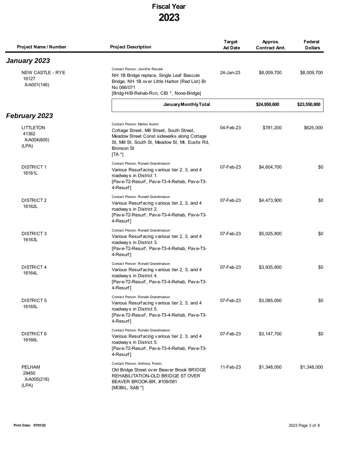| Project Name / Number                      | <b>Project Description</b>                                                                                                                                                                                                       | Target<br><b>Ad Date</b> | Approx.<br><b>Contract Amt.</b> | Federal<br><b>Dollars</b> |
|--------------------------------------------|----------------------------------------------------------------------------------------------------------------------------------------------------------------------------------------------------------------------------------|--------------------------|---------------------------------|---------------------------|
| January 2023                               |                                                                                                                                                                                                                                  |                          |                                 |                           |
| NEW CASTLE - RYE<br>16127<br>X-A001(146)   | Contact Person: Jennifer Reczek<br>NH 1B Bridge replace, Single Leaf Bascule<br>Bridge, NH 1B over Little Harbor (Red List) Br<br>No 066/071<br>[Bridg-HIB-Rehab-Rcn, CBI *, None-Bridge]                                        | 24-Jan-23                | \$8,009,700                     | \$8,009,700               |
|                                            | January Monthly Total                                                                                                                                                                                                            |                          | \$24,950,600                    | \$23,550,800              |
| <b>February 2023</b>                       |                                                                                                                                                                                                                                  |                          |                                 |                           |
| LITTLETON<br>41362<br>X-A004(605)<br>(LPA) | Contact Person: Marlon Austin<br>Cottage Street, Mill Street, South Street,<br>Meadow Street Const sidewalks along Cottage<br>St, Mill St, South St, Meadow St, Mt. Eustis Rd,<br><b>Bronson St</b><br>$\mathsf{T} \mathsf{A}^*$ | 04-Feb-23                | \$781,200                       | \$625,000                 |
| <b>DISTRICT 1</b><br>16161L                | Contact Person: Ronald Grandmaison<br>Various Resurfacing various tier 2, 3, and 4<br>roadways in District 1.<br>[Pave-T2-Resurf, Pave-T3-4-Rehab, Pave-T3-<br>4-Resurf]                                                         | 07-Feb-23                | \$4,604,700                     | \$0                       |
| DISTRICT 2<br>16162L                       | Contact Person: Ronald Grandmaison<br>Various Resurfacing various tier 2, 3, and 4<br>roadways in District 2.<br>[Pave-T2-Resurf, Pave-T3-4-Rehab, Pave-T3-<br>4-Resurf]                                                         | 07-Feb-23                | \$4,473,900                     | \$0                       |
| <b>DISTRICT 3</b><br>16163L                | Contact Person: Ronald Grandmaison<br>Various Resurfacing various tier 2, 3, and 4<br>roadways in District 3.<br>[Pave-T2-Resurf, Pave-T3-4-Rehab, Pave-T3-<br>4-Resurf]                                                         | 07-Feb-23                | \$5,025,800                     | \$0                       |
| <b>DISTRICT 4</b><br>16164L                | Contact Person: Ronald Grandmaison<br>Various Resurfacing various tier 2, 3, and 4<br>roadways in District 4.<br>[Pave-T2-Resurf, Pave-T3-4-Rehab, Pave-T3-<br>4-Resurf1                                                         | 07-Feb-23                | \$3,935,800                     | \$0                       |
| DISTRICT 5<br>16165L                       | Contact Person: Ronald Grandmaison<br>Various Resurfacing various tier 2, 3, and 4<br>roadways in District 5.<br>[Pave-T2-Resurf, Pave-T3-4-Rehab, Pave-T3-<br>4-Resurf]                                                         | 07-Feb-23                | \$3,085,000                     | \$0                       |
| DISTRICT 6<br>16166L                       | Contact Person: Ronald Grandmaison<br>Various Resurfacing various tier 2, 3, and 4<br>roadways in District 5.<br>[Pave-T2-Resurf, Pave-T3-4-Rehab, Pave-T3-<br>4-Resurf]                                                         | 07-Feb-23                | \$3,147,700                     | \$0                       |
| PELHAM<br>29450<br>X-A005(218)<br>(LPA)    | Contact Person: Anthony Puntin<br>Old Bridge Street over Beaver Brook BRIDGE<br>REHABILITATION-OLD BRIDGE ST OVER<br>BEAVER BROOK-BR. #109/081<br>[MOBIL, SAB *]                                                                 | 11-Feb-23                | \$1,348,000                     | \$1,348,000               |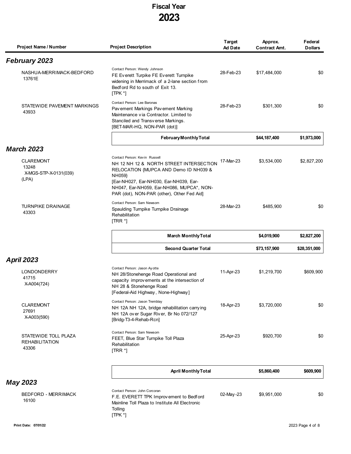| Project Name / Number                                       | <b>Project Description</b>                                                                                                                                                                                                                                       | Target<br><b>Ad Date</b> | Approx.<br><b>Contract Amt.</b> | Federal<br><b>Dollars</b> |
|-------------------------------------------------------------|------------------------------------------------------------------------------------------------------------------------------------------------------------------------------------------------------------------------------------------------------------------|--------------------------|---------------------------------|---------------------------|
| February 2023                                               |                                                                                                                                                                                                                                                                  |                          |                                 |                           |
| NASHUA-MERRIMACK-BEDFORD<br>13761E                          | Contact Person: Wendy Johnson<br>FE Everett Turpike FE Everett Turnpike<br>widening in Merrimack of a 2-lane section from<br>Bedford Rd to south of Exit 13.<br>$[TPK^*]$                                                                                        | 28-Feb-23                | \$17,484,000                    | \$0                       |
| STATEWIDE PAVEMENT MARKINGS<br>43933                        | Contact Person: Lee Baronas<br>Pavement Markings Pavement Marking<br>Maintenance via Contractor. Limited to<br>Stanciled and Transverse Markings.<br>[BET-MAR-HQ, NON-PAR (dot)]                                                                                 | 28-Feb-23                | \$301,300                       | \$0                       |
|                                                             | <b>February Monthly Total</b>                                                                                                                                                                                                                                    |                          | \$44,187,400                    | \$1,973,000               |
| <b>March 2023</b>                                           |                                                                                                                                                                                                                                                                  |                          |                                 |                           |
| <b>CLAREMONT</b><br>13248<br>X-MGS-STP-X-0131(039)<br>(LPA) | Contact Person: Kevin Russell<br>NH 12 NH 12 & NORTH STREET INTERSECTION<br>RELOCATION {MUPCA AND Demo ID NH039 &<br>NH059}<br>[Ear-NH027, Ear-NH030, Ear-NH039, Ear-<br>NH047, Ear-NH059, Ear-NH086, MUPCA*, NON-<br>PAR (dot), NON-PAR (other), Other Fed Aid] | 17-Mar-23                | \$3,534,000                     | \$2,827,200               |
| <b>TURNPIKE DRAINAGE</b><br>43303                           | Contact Person: Sam Newsom<br>Spaulding Turnpike Turnpike Drainage<br>Rehabilitation<br>$[TRR^*]$                                                                                                                                                                | 28-Mar-23                | \$485,900                       | \$0                       |
|                                                             | <b>March Monthly Total</b>                                                                                                                                                                                                                                       |                          | \$4,019,900                     | \$2,827,200               |
|                                                             | <b>Second Quarter Total</b>                                                                                                                                                                                                                                      |                          | \$73,157,900                    | \$28,351,000              |
| <b>April 2023</b>                                           |                                                                                                                                                                                                                                                                  |                          |                                 |                           |
| LONDONDERRY<br>41715<br>X-A004(724)                         | Contact Person: Jason Ayotte<br>NH 28/Stonehenge Road Operational and<br>capacity improvements at the intersection of<br>NH 28 & Stonehenge Road<br>[Federal-Aid Highway, None-Highway]                                                                          | 11-Apr-23                | \$1,219,700                     | \$609,900                 |
| <b>CLAREMONT</b><br>27691<br>X-A003(590)                    | Contact Person: Jason Tremblay<br>NH 12A NH 12A, bridge rehabilitation carrying<br>NH 12A over Sugar River, Br No 072/127<br>[Bridg-T3-4-Rehab-Rcn]                                                                                                              | 18-Apr-23                | \$3,720,000                     | \$0                       |
| STATEWIDE TOLL PLAZA<br><b>REHABILITATION</b><br>43306      | Contact Person: Sam Newsom<br>FEET, Blue Star Turnpike Toll Plaza<br>Rehabilitation<br>$[TRR^*]$                                                                                                                                                                 | 25-Apr-23                | \$920,700                       | \$0                       |
|                                                             | <b>April Monthly Total</b>                                                                                                                                                                                                                                       |                          | \$5,860,400                     | \$609,900                 |
| <b>May 2023</b>                                             |                                                                                                                                                                                                                                                                  |                          |                                 |                           |
| <b>BEDFORD - MERRIMACK</b><br>16100                         | Contact Person: John Corcoran<br>F.E. EVERETT TPK Improvement to Bedford<br>Mainline Toll Plaza to Institute All Electronic<br>Tolling<br>$[TPK^*]$                                                                                                              | 02-May-23                | \$9,951,000                     | \$0                       |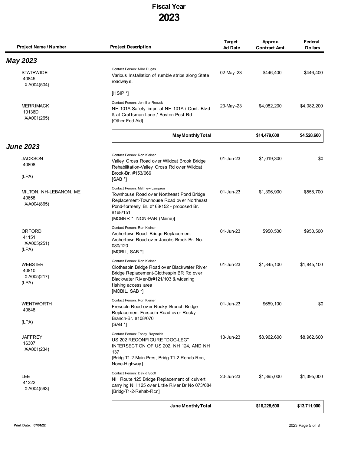| Project Name / Number                           | <b>Project Description</b>                                                                                                                                                                                       | <b>Target</b><br><b>Ad Date</b> | Approx.<br><b>Contract Amt.</b> | Federal<br><b>Dollars</b> |
|-------------------------------------------------|------------------------------------------------------------------------------------------------------------------------------------------------------------------------------------------------------------------|---------------------------------|---------------------------------|---------------------------|
| <b>May 2023</b>                                 |                                                                                                                                                                                                                  |                                 |                                 |                           |
| <b>STATEWIDE</b><br>40845<br>X-A004(504)        | Contact Person: Mike Dugas<br>Various Installation of rumble strips along State<br>roadways.                                                                                                                     | 02-May-23                       | \$446,400                       | \$446,400                 |
|                                                 | $[HSIP^*]$                                                                                                                                                                                                       |                                 |                                 |                           |
| <b>MERRIMACK</b><br>10136D<br>X-A001(265)       | Contact Person: Jennifer Reczek<br>NH 101A Safety impr. at NH 101A / Cont. Blvd<br>& at Craftsman Lane / Boston Post Rd<br>[Other Fed Aid]                                                                       | 23-May-23                       | \$4,082,200                     | \$4,082,200               |
|                                                 | <b>May Monthly Total</b>                                                                                                                                                                                         |                                 | \$14,479,600                    | \$4,528,600               |
| <b>June 2023</b>                                |                                                                                                                                                                                                                  |                                 |                                 |                           |
| <b>JACKSON</b><br>40808<br>(LPA)                | Contact Person: Ron Kleiner<br>Valley Cross Road over Wildcat Brook Bridge<br>Rehabilitation-Valley Cross Rd over Wildcat<br>Brook-Br. #153/066<br>$[SAB^*]$                                                     | 01-Jun-23                       | \$1,019,300                     | \$0                       |
| MILTON, NH-LEBANON, ME<br>40658<br>X-A004(865)  | Contact Person: Matthew Lampron<br>Townhouse Road over Northeast Pond Bridge<br>Replacement-Townhouse Road over Northeast<br>Pond-formerly Br. #168/152 - proposed Br.<br>#168/151<br>[MOBRR *, NON-PAR (Maine)] | 01-Jun-23                       | \$1,396,900                     | \$558,700                 |
| ORFORD<br>41151<br>X-A005(251)<br>(LPA)         | Contact Person: Ron Kleiner<br>Archertown Road Bridge Replacement -<br>Archertown Road over Jacobs Brook-Br. No.<br>080/120<br>$[MOBIL, SAB*]$                                                                   | 01-Jun-23                       | \$950,500                       | \$950,500                 |
| <b>WEBSTER</b><br>40810<br>X-A005(217)<br>(LPA) | Contact Person: Ron Kleiner<br>Clothespin Bridge Road over Blackwater River<br>Bridge Replacement-Clothespin BR Rd over<br>Blackwater Riv er-Br#121/103 & widening<br>fishing access area<br>[MOBIL, SAB *]      | 01-Jun-23                       | \$1,845,100                     | \$1.845.100               |
| <b>WENTWORTH</b><br>40648<br>(LPA)              | Contact Person: Ron Kleiner<br>Frescoln Road over Rocky Branch Bridge<br>Replacement-Frescoln Road over Rocky<br>Branch-Br. #108/070<br>$[SAB^*]$                                                                | $01$ -Jun-23                    | \$659.100                       | \$0                       |
| <b>JAFFREY</b><br>16307<br>X-A001(234)          | Contact Person: Tobey Reynolds<br>US 202 RECONFIGURE "DOG-LEG"<br>INTERSECTION OF US 202, NH 124, AND NH<br>137<br>[Bridg-T1-2-Main-Pres, Bridg-T1-2-Rehab-Rcn,<br>None-Highway]                                 | 13-Jun-23                       | \$8,962,600                     | \$8,962,600               |
| <b>LEE</b><br>41322<br>X-A004(593)              | Contact Person: David Scott<br>NH Route 125 Bridge Replacement of culvert<br>carrying NH 125 over Little River Br No 073/084<br>[Bridg-T1-2-Rehab-Rcn]                                                           | 20-Jun-23                       | \$1,395,000                     | \$1,395,000               |
|                                                 | June Monthly Total                                                                                                                                                                                               |                                 | \$16,228,500                    | \$13,711,900              |

 $\blacksquare$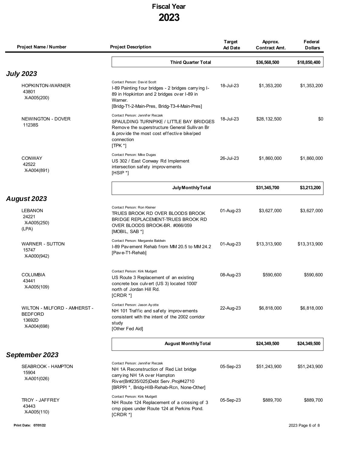| Project Name / Number                                                   | <b>Project Description</b>                                                                                                                                                                           | <b>Target</b><br><b>Ad Date</b> | Approx.<br><b>Contract Amt.</b> | Federal<br><b>Dollars</b> |
|-------------------------------------------------------------------------|------------------------------------------------------------------------------------------------------------------------------------------------------------------------------------------------------|---------------------------------|---------------------------------|---------------------------|
|                                                                         | <b>Third Quarter Total</b>                                                                                                                                                                           |                                 | \$36,568,500                    | \$18,850,400              |
| <b>July 2023</b>                                                        |                                                                                                                                                                                                      |                                 |                                 |                           |
| <b>HOPKINTON-WARNER</b><br>43801<br>X-A005(200)                         | Contact Person: David Scott<br>I-89 Painting four bridges - 2 bridges carrying I-<br>89 in Hopkinton and 2 bridges over I-89 in<br>Warner.<br>[Bridg-T1-2-Main-Pres, Bridg-T3-4-Main-Pres]           | 18-Jul-23                       | \$1,353,200                     | \$1,353,200               |
| NEWINGTON - DOVER<br>11238S                                             | Contact Person: Jennifer Reczek<br>SPAULDING TURNPIKE / LITTLE BAY BRIDGES<br>Remove the superstructure General Sullivan Br<br>& provide the most cost effective bike/ped<br>connection<br>$[TPK^*]$ | 18-Jul-23                       | \$28,132,500                    | \$0                       |
| <b>CONWAY</b><br>42522<br>X-A004(891)                                   | Contact Person: Mike Dugas<br>US 302 / East Conway Rd Implement<br>intersection safety improvements<br>$[HSIP^*]$                                                                                    | 26-Jul-23                       | \$1,860,000                     | \$1,860,000               |
|                                                                         | July Monthly Total                                                                                                                                                                                   |                                 | \$31,345,700                    | \$3,213,200               |
| August 2023                                                             |                                                                                                                                                                                                      |                                 |                                 |                           |
| <b>LEBANON</b><br>24221<br>X-A005(250)<br>(LPA)                         | Contact Person: Ron Kleiner<br>TRUES BROOK RD OVER BLOODS BROOK<br>BRIDGE REPLACEMENT-TRUES BROOK RD<br>OVER BLOODS BROOK-BR. #066/059<br>[MOBIL, SAB *]                                             | 01-Aug-23                       | \$3,627,000                     | \$3,627,000               |
| <b>WARNER - SUTTON</b><br>15747<br>X-A000(942)                          | Contact Person: Margarete Baldwin<br>I-89 Pavement Rehab from MM 20.5 to MM 24.2<br>[Pave-T1-Rehab]                                                                                                  | 01-Aug-23                       | \$13,313,900                    | \$13,313,900              |
| <b>COLUMBIA</b><br>43441<br>X-A005(109)                                 | Contact Person: Kirk Mudgett<br>US Route 3 Replacement of an existing<br>concrete box culvert (US 3) located 1000'<br>north of Jordan Hill Rd.<br>[CRDR *]                                           | 08-Aug-23                       | \$590,600                       | \$590,600                 |
| WILTON - MILFORD - AMHERST -<br><b>BEDFORD</b><br>13692D<br>X-A004(698) | Contact Person: Jason Ay otte<br>NH 101 Traffic and safety improvements<br>consistent with the intent of the 2002 corridor<br>study<br>[Other Fed Aid]                                               | 22-Aug-23                       | \$6,818,000                     | \$6,818,000               |
|                                                                         | <b>August Monthly Total</b>                                                                                                                                                                          |                                 | \$24,349,500                    | \$24,349,500              |
| September 2023                                                          |                                                                                                                                                                                                      |                                 |                                 |                           |
| SEABROOK - HAMPTON<br>15904<br>X-A001(026)                              | Contact Person: Jennifer Reczek<br>NH 1A Reconstruction of Red List bridge<br>carrying NH 1A over Hampton<br>River(Br#235/025)Debt Serv. Proj#42710<br>[BRPPI *, Bridg-HIB-Rehab-Rcn, None-Other]    | 05-Sep-23                       | \$51,243,900                    | \$51,243,900              |
| <b>TROY - JAFFREY</b><br>43443<br>X-A005(110)                           | Contact Person: Kirk Mudgett<br>NH Route 124 Replacement of a crossing of 3<br>cmp pipes under Route 124 at Perkins Pond.<br>$[CRDR*]$                                                               | 05-Sep-23                       | \$889,700                       | \$889,700                 |
| Print Date: 07/01/22                                                    |                                                                                                                                                                                                      |                                 |                                 | 2023 Page 6 of 8          |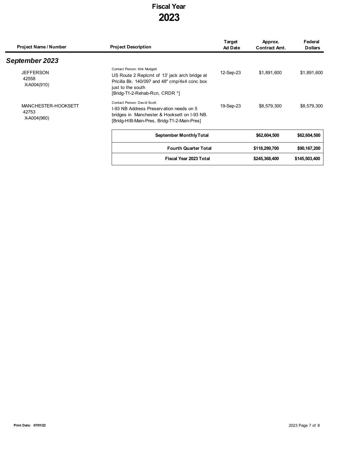| Project Name / Number                       | <b>Project Description</b>                                                                                                                                                            | Target<br><b>Ad Date</b> | Approx.<br><b>Contract Amt.</b> | Federal<br><b>Dollars</b> |
|---------------------------------------------|---------------------------------------------------------------------------------------------------------------------------------------------------------------------------------------|--------------------------|---------------------------------|---------------------------|
| September 2023                              |                                                                                                                                                                                       |                          |                                 |                           |
| <b>JEFFERSON</b><br>42558<br>X-A004(910)    | Contact Person: Kirk Mudgett<br>US Route 2 Replcmt of 13' jack arch bridge at<br>Pricilla Bk. 140/097 and 48" cmp/4x4 conc box<br>just to the south<br>[Bridg-T1-2-Rehab-Rcn, CRDR *] | 12-Sep-23                | \$1,891,600                     | \$1,891,600               |
| MANCHESTER-HOOKSETT<br>42753<br>X-A004(960) | Contact Person: David Scott<br>1-93 NB Address Preservation needs on 5<br>bridges in Manchester & Hooksett on I-93 NB.<br>[Bridg-HIB-Main-Pres, Bridg-T1-2-Main-Pres]                 | 19-Sep-23                | \$8.579.300                     | \$8,579,300               |
|                                             | <b>September Monthly Total</b>                                                                                                                                                        |                          | \$62,604,500                    | \$62,604,500              |
|                                             |                                                                                                                                                                                       |                          |                                 |                           |

| <b>Fourth Quarter Total</b> | \$118,299,700 | \$90,167,200  |
|-----------------------------|---------------|---------------|
| Fiscal Year 2023 Total      | \$245,368,400 | \$145,503,400 |